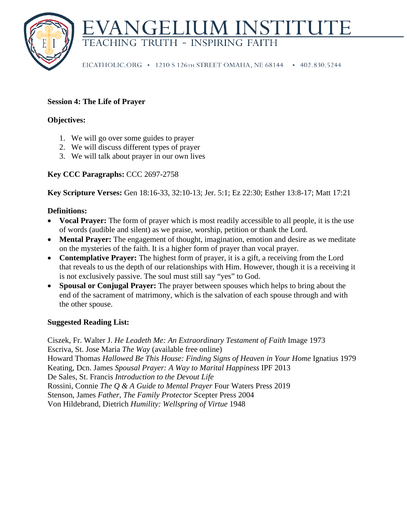

# **Session 4: The Life of Prayer**

## **Objectives:**

- 1. We will go over some guides to prayer
- 2. We will discuss different types of prayer
- 3. We will talk about prayer in our own lives

# **Key CCC Paragraphs:** CCC 2697-2758

**Key Scripture Verses:** Gen 18:16-33, 32:10-13; Jer. 5:1; Ez 22:30; Esther 13:8-17; Matt 17:21

### **Definitions:**

- **Vocal Prayer:** The form of prayer which is most readily accessible to all people, it is the use of words (audible and silent) as we praise, worship, petition or thank the Lord.
- **Mental Prayer:** The engagement of thought, imagination, emotion and desire as we meditate on the mysteries of the faith. It is a higher form of prayer than vocal prayer.
- **Contemplative Prayer:** The highest form of prayer, it is a gift, a receiving from the Lord that reveals to us the depth of our relationships with Him. However, though it is a receiving it is not exclusively passive. The soul must still say "yes" to God.
- **Spousal or Conjugal Prayer:** The prayer between spouses which helps to bring about the end of the sacrament of matrimony, which is the salvation of each spouse through and with the other spouse.

### **Suggested Reading List:**

Ciszek, Fr. Walter J. *He Leadeth Me: An Extraordinary Testament of Faith* Image 1973 Escriva, St. Jose Maria *The Way* (available free online) Howard Thomas *Hallowed Be This House: Finding Signs of Heaven in Your Home* Ignatius 1979 Keating, Dcn. James *Spousal Prayer: A Way to Marital Happiness* IPF 2013 De Sales, St. Francis *Introduction to the Devout Life* Rossini, Connie *The Q & A Guide to Mental Prayer* Four Waters Press 2019 Stenson, James *Father, The Family Protector* Scepter Press 2004 Von Hildebrand, Dietrich *Humility: Wellspring of Virtue* 1948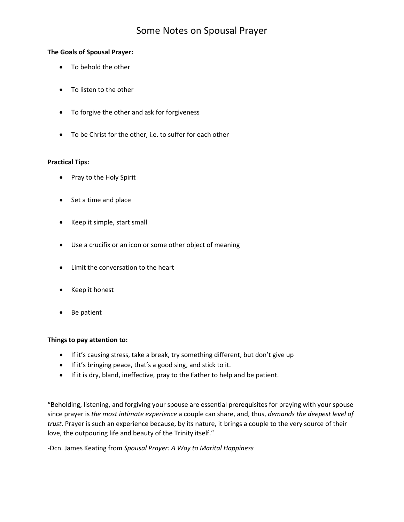# Some Notes on Spousal Prayer

#### **The Goals of Spousal Prayer:**

- To behold the other
- To listen to the other
- To forgive the other and ask for forgiveness
- To be Christ for the other, i.e. to suffer for each other

#### **Practical Tips:**

- Pray to the Holy Spirit
- Set a time and place
- Keep it simple, start small
- Use a crucifix or an icon or some other object of meaning
- Limit the conversation to the heart
- Keep it honest
- Be patient

#### **Things to pay attention to:**

- If it's causing stress, take a break, try something different, but don't give up
- If it's bringing peace, that's a good sing, and stick to it.
- If it is dry, bland, ineffective, pray to the Father to help and be patient.

"Beholding, listening, and forgiving your spouse are essential prerequisites for praying with your spouse since prayer is *the most intimate experience* a couple can share, and, thus, *demands the deepest level of trust*. Prayer is such an experience because, by its nature, it brings a couple to the very source of their love, the outpouring life and beauty of the Trinity itself."

-Dcn. James Keating from *Spousal Prayer: A Way to Marital Happiness*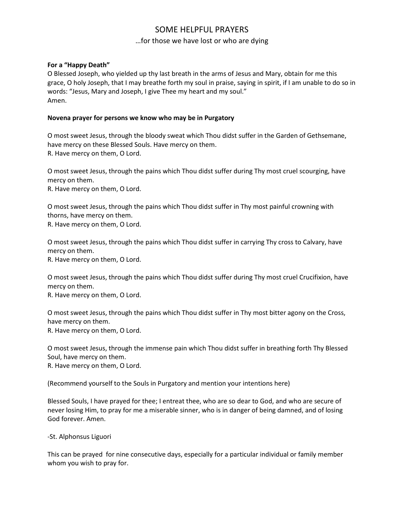#### …for those we have lost or who are dying

#### **For a "Happy Death"**

O Blessed Joseph, who yielded up thy last breath in the arms of Jesus and Mary, obtain for me this grace, O holy Joseph, that I may breathe forth my soul in praise, saying in spirit, if I am unable to do so in words: "Jesus, Mary and Joseph, I give Thee my heart and my soul." Amen.

#### **Novena prayer for persons we know who may be in Purgatory**

O most sweet Jesus, through the bloody sweat which Thou didst suffer in the Garden of Gethsemane, have mercy on these Blessed Souls. Have mercy on them. R. Have mercy on them, O Lord.

O most sweet Jesus, through the pains which Thou didst suffer during Thy most cruel scourging, have mercy on them.

R. Have mercy on them, O Lord.

O most sweet Jesus, through the pains which Thou didst suffer in Thy most painful crowning with thorns, have mercy on them. R. Have mercy on them, O Lord.

O most sweet Jesus, through the pains which Thou didst suffer in carrying Thy cross to Calvary, have mercy on them.

R. Have mercy on them, O Lord.

O most sweet Jesus, through the pains which Thou didst suffer during Thy most cruel Crucifixion, have mercy on them.

R. Have mercy on them, O Lord.

O most sweet Jesus, through the pains which Thou didst suffer in Thy most bitter agony on the Cross, have mercy on them.

R. Have mercy on them, O Lord.

O most sweet Jesus, through the immense pain which Thou didst suffer in breathing forth Thy Blessed Soul, have mercy on them. R. Have mercy on them, O Lord.

(Recommend yourself to the Souls in Purgatory and mention your intentions here)

Blessed Souls, I have prayed for thee; I entreat thee, who are so dear to God, and who are secure of never losing Him, to pray for me a miserable sinner, who is in danger of being damned, and of losing God forever. Amen.

-St. Alphonsus Liguori

This can be prayed for nine consecutive days, especially for a particular individual or family member whom you wish to pray for.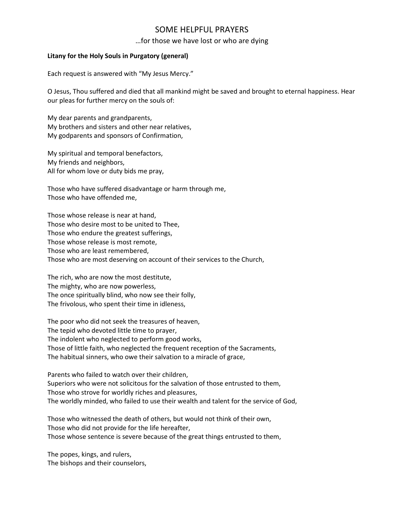#### …for those we have lost or who are dying

#### **Litany for the Holy Souls in Purgatory (general)**

Each request is answered with "My Jesus Mercy."

O Jesus, Thou suffered and died that all mankind might be saved and brought to eternal happiness. Hear our pleas for further mercy on the souls of:

My dear parents and grandparents, My brothers and sisters and other near relatives, My godparents and sponsors of Confirmation,

My spiritual and temporal benefactors, My friends and neighbors, All for whom love or duty bids me pray,

Those who have suffered disadvantage or harm through me, Those who have offended me,

Those whose release is near at hand, Those who desire most to be united to Thee, Those who endure the greatest sufferings, Those whose release is most remote, Those who are least remembered, Those who are most deserving on account of their services to the Church,

The rich, who are now the most destitute, The mighty, who are now powerless, The once spiritually blind, who now see their folly, The frivolous, who spent their time in idleness,

The poor who did not seek the treasures of heaven, The tepid who devoted little time to prayer, The indolent who neglected to perform good works, Those of little faith, who neglected the frequent reception of the Sacraments, The habitual sinners, who owe their salvation to a miracle of grace,

Parents who failed to watch over their children, Superiors who were not solicitous for the salvation of those entrusted to them, Those who strove for worldly riches and pleasures, The worldly minded, who failed to use their wealth and talent for the service of God,

Those who witnessed the death of others, but would not think of their own, Those who did not provide for the life hereafter, Those whose sentence is severe because of the great things entrusted to them,

The popes, kings, and rulers, The bishops and their counselors,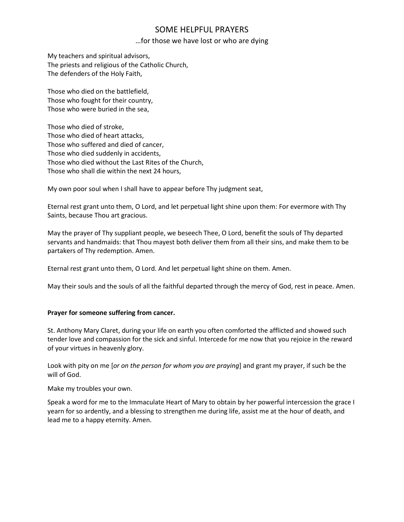#### …for those we have lost or who are dying

My teachers and spiritual advisors, The priests and religious of the Catholic Church, The defenders of the Holy Faith,

Those who died on the battlefield, Those who fought for their country, Those who were buried in the sea,

Those who died of stroke, Those who died of heart attacks, Those who suffered and died of cancer, Those who died suddenly in accidents, Those who died without the Last Rites of the Church, Those who shall die within the next 24 hours,

My own poor soul when I shall have to appear before Thy judgment seat,

Eternal rest grant unto them, O Lord, and let perpetual light shine upon them: For evermore with Thy Saints, because Thou art gracious.

May the prayer of Thy suppliant people, we beseech Thee, O Lord, benefit the souls of Thy departed servants and handmaids: that Thou mayest both deliver them from all their sins, and make them to be partakers of Thy redemption. Amen.

Eternal rest grant unto them, O Lord. And let perpetual light shine on them. Amen.

May their souls and the souls of all the faithful departed through the mercy of God, rest in peace. Amen.

#### **Prayer for someone suffering from cancer.**

St. Anthony Mary Claret, during your life on earth you often comforted the afflicted and showed such tender love and compassion for the sick and sinful. Intercede for me now that you rejoice in the reward of your virtues in heavenly glory.

Look with pity on me [*or on the person for whom you are praying*] and grant my prayer, if such be the will of God.

Make my troubles your own.

Speak a word for me to the Immaculate Heart of Mary to obtain by her powerful intercession the grace I yearn for so ardently, and a blessing to strengthen me during life, assist me at the hour of death, and lead me to a happy eternity. Amen.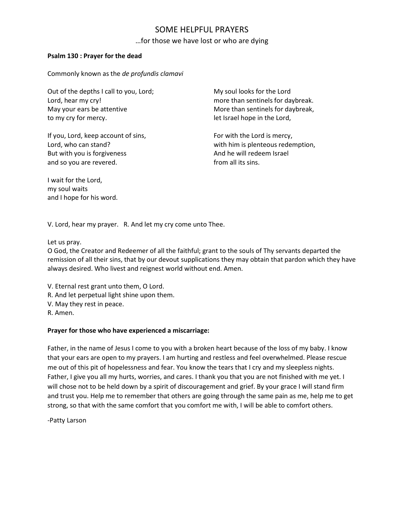#### …for those we have lost or who are dying

#### **Psalm 130 : Prayer for the dead**

Commonly known as the *de profundis clamavi*

Out of the depths I call to you, Lord; Lord, hear my cry! May your ears be attentive to my cry for mercy.

If you, Lord, keep account of sins, Lord, who can stand? But with you is forgiveness and so you are revered.

My soul looks for the Lord more than sentinels for daybreak. More than sentinels for daybreak, let Israel hope in the Lord,

For with the Lord is mercy, with him is plenteous redemption, And he will redeem Israel from all its sins.

I wait for the Lord, my soul waits and I hope for his word.

V. Lord, hear my prayer. R. And let my cry come unto Thee.

Let us pray.

O God, the Creator and Redeemer of all the faithful; grant to the souls of Thy servants departed the remission of all their sins, that by our devout supplications they may obtain that pardon which they have always desired. Who livest and reignest world without end. Amen.

- V. Eternal rest grant unto them, O Lord.
- R. And let perpetual light shine upon them.
- V. May they rest in peace.
- R. Amen.

#### **Prayer for those who have experienced a miscarriage:**

Father, in the name of Jesus I come to you with a broken heart because of the loss of my baby. I know that your ears are open to my prayers. I am hurting and restless and feel overwhelmed. Please rescue me out of this pit of hopelessness and fear. You know the tears that I cry and my sleepless nights. Father, I give you all my hurts, worries, and cares. I thank you that you are not finished with me yet. I will chose not to be held down by a spirit of discouragement and grief. By your grace I will stand firm and trust you. Help me to remember that others are going through the same pain as me, help me to get strong, so that with the same comfort that you comfort me with, I will be able to comfort others.

-Patty Larson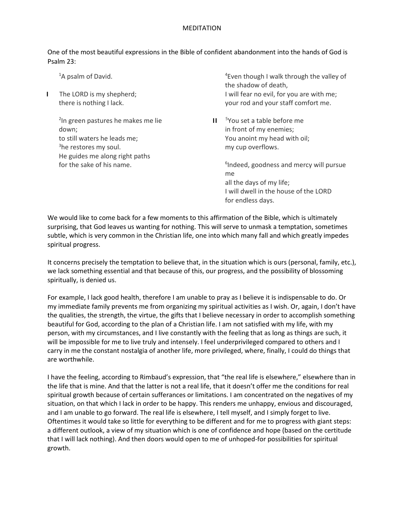#### MEDITATION

One of the most beautiful expressions in the Bible of confident abandonment into the hands of God is Psalm 23:

<sup>1</sup>A psalm of David.

**I** The LORD is my shepherd; there is nothing I lack.

> <sup>2</sup>In green pastures he makes me lie down; to still waters he leads me; <sup>3</sup>he restores my soul. He guides me along right paths for the sake of his name.

4 Even though I walk through the valley of the shadow of death, I will fear no evil, for you are with me; your rod and your staff comfort me.

**II** <sup>5</sup>You set a table before me in front of my enemies; You anoint my head with oil; my cup overflows.

> 6 Indeed, goodness and mercy will pursue me all the days of my life; I will dwell in the house of the LORD for endless days.

We would like to come back for a few moments to this affirmation of the Bible, which is ultimately surprising, that God leaves us wanting for nothing. This will serve to unmask a temptation, sometimes subtle, which is very common in the Christian life, one into which many fall and which greatly impedes spiritual progress.

It concerns precisely the temptation to believe that, in the situation which is ours (personal, family, etc.), we lack something essential and that because of this, our progress, and the possibility of blossoming spiritually, is denied us.

For example, I lack good health, therefore I am unable to pray as I believe it is indispensable to do. Or my immediate family prevents me from organizing my spiritual activities as I wish. Or, again, I don't have the qualities, the strength, the virtue, the gifts that I believe necessary in order to accomplish something beautiful for God, according to the plan of a Christian life. I am not satisfied with my life, with my person, with my circumstances, and I live constantly with the feeling that as long as things are such, it will be impossible for me to live truly and intensely. I feel underprivileged compared to others and I carry in me the constant nostalgia of another life, more privileged, where, finally, I could do things that are worthwhile.

I have the feeling, according to Rimbaud's expression, that "the real life is elsewhere," elsewhere than in the life that is mine. And that the latter is not a real life, that it doesn't offer me the conditions for real spiritual growth because of certain sufferances or limitations. I am concentrated on the negatives of my situation, on that which I lack in order to be happy. This renders me unhappy, envious and discouraged, and I am unable to go forward. The real life is elsewhere, I tell myself, and I simply forget to live. Oftentimes it would take so little for everything to be different and for me to progress with giant steps: a different outlook, a view of my situation which is one of confidence and hope (based on the certitude that I will lack nothing). And then doors would open to me of unhoped-for possibilities for spiritual growth.